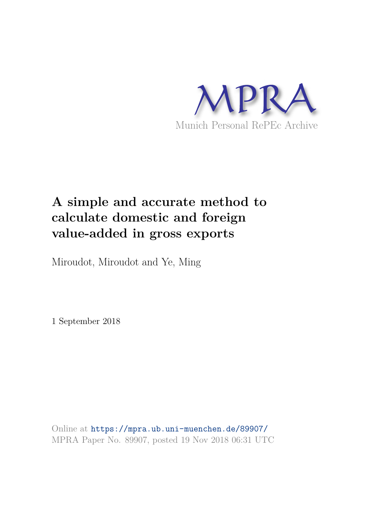

# **A simple and accurate method to calculate domestic and foreign value-added in gross exports**

Miroudot, Miroudot and Ye, Ming

1 September 2018

Online at https://mpra.ub.uni-muenchen.de/89907/ MPRA Paper No. 89907, posted 19 Nov 2018 06:31 UTC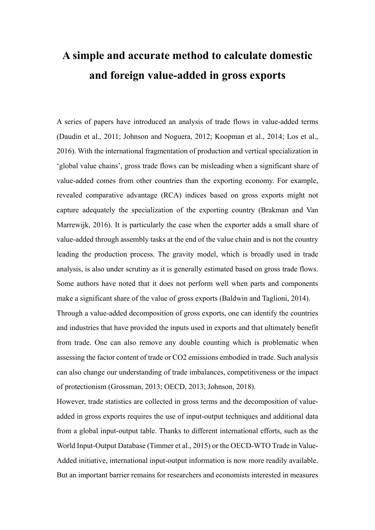# **A simple and accurate method to calculate domestic and foreign value-added in gross exports**

A series of papers have introduced an analysis of trade flows in value-added terms (Daudin et al., 2011; Johnson and Noguera, 2012; Koopman et al., 2014; Los et al., 2016). With the international fragmentation of production and vertical specialization in 'global value chains', gross trade flows can be misleading when a significant share of value-added comes from other countries than the exporting economy. For example, revealed comparative advantage (RCA) indices based on gross exports might not capture adequately the specialization of the exporting country (Brakman and Van Marrewijk, 2016). It is particularly the case when the exporter adds a small share of value-added through assembly tasks at the end of the value chain and is not the country leading the production process. The gravity model, which is broadly used in trade analysis, is also under scrutiny as it is generally estimated based on gross trade flows. Some authors have noted that it does not perform well when parts and components make a significant share of the value of gross exports (Baldwin and Taglioni, 2014). Through a value-added decomposition of gross exports, one can identify the countries and industries that have provided the inputs used in exports and that ultimately benefit from trade. One can also remove any double counting which is problematic when assessing the factor content of trade or CO2 emissions embodied in trade. Such analysis can also change our understanding of trade imbalances, competitiveness or the impact of protectionism (Grossman, 2013; OECD, 2013; Johnson, 2018).

However, trade statistics are collected in gross terms and the decomposition of valueadded in gross exports requires the use of input-output techniques and additional data from a global input-output table. Thanks to different international efforts, such as the World Input-Output Database (Timmer et al., 2015) or the OECD-WTO Trade in Value-Added initiative, international input-output information is now more readily available. But an important barrier remains for researchers and economists interested in measures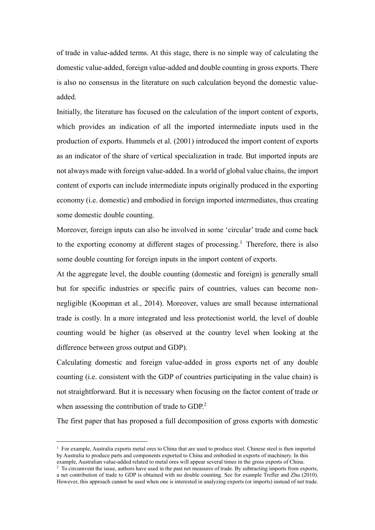of trade in value-added terms. At this stage, there is no simple way of calculating the domestic value-added, foreign value-added and double counting in gross exports. There is also no consensus in the literature on such calculation beyond the domestic valueadded.

Initially, the literature has focused on the calculation of the import content of exports, which provides an indication of all the imported intermediate inputs used in the production of exports. Hummels et al. (2001) introduced the import content of exports as an indicator of the share of vertical specialization in trade. But imported inputs are not always made with foreign value-added. In a world of global value chains, the import content of exports can include intermediate inputs originally produced in the exporting economy (i.e. domestic) and embodied in foreign imported intermediates, thus creating some domestic double counting.

Moreover, foreign inputs can also be involved in some 'circular' trade and come back to the exporting economy at different stages of processing.<sup>1</sup> Therefore, there is also some double counting for foreign inputs in the import content of exports.

At the aggregate level, the double counting (domestic and foreign) is generally small but for specific industries or specific pairs of countries, values can become nonnegligible (Koopman et al., 2014). Moreover, values are small because international trade is costly. In a more integrated and less protectionist world, the level of double counting would be higher (as observed at the country level when looking at the difference between gross output and GDP).

Calculating domestic and foreign value-added in gross exports net of any double counting (i.e. consistent with the GDP of countries participating in the value chain) is not straightforward. But it is necessary when focusing on the factor content of trade or when assessing the contribution of trade to GDP.<sup>2</sup>

The first paper that has proposed a full decomposition of gross exports with domestic

1

<sup>1</sup> For example, Australia exports metal ores to China that are used to produce steel. Chinese steel is then imported by Australia to produce parts and components exported to China and embodied in exports of machinery. In this example, Australian value-added related to metal ores will appear several times in the gross exports of China.

<sup>&</sup>lt;sup>2</sup> To circumvent the issue, authors have used in the past net measures of trade. By subtracting imports from exports, a net contribution of trade to GDP is obtained with no double counting. See for example Trefler and Zhu (2010). However, this approach cannot be used when one is interested in analyzing exports (or imports) instead of net trade.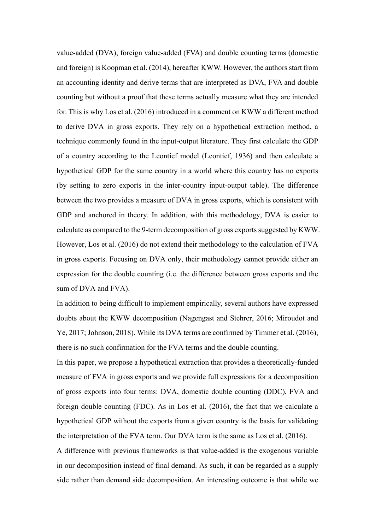value-added (DVA), foreign value-added (FVA) and double counting terms (domestic and foreign) is Koopman et al. (2014), hereafter KWW. However, the authors start from an accounting identity and derive terms that are interpreted as DVA, FVA and double counting but without a proof that these terms actually measure what they are intended for. This is why Los et al. (2016) introduced in a comment on KWW a different method to derive DVA in gross exports. They rely on a hypothetical extraction method, a technique commonly found in the input-output literature. They first calculate the GDP of a country according to the Leontief model (Leontief, 1936) and then calculate a hypothetical GDP for the same country in a world where this country has no exports (by setting to zero exports in the inter-country input-output table). The difference between the two provides a measure of DVA in gross exports, which is consistent with GDP and anchored in theory. In addition, with this methodology, DVA is easier to calculate as compared to the 9-term decomposition of gross exports suggested by KWW. However, Los et al. (2016) do not extend their methodology to the calculation of FVA in gross exports. Focusing on DVA only, their methodology cannot provide either an expression for the double counting (i.e. the difference between gross exports and the sum of DVA and FVA).

In addition to being difficult to implement empirically, several authors have expressed doubts about the KWW decomposition (Nagengast and Stehrer, 2016; Miroudot and Ye, 2017; Johnson, 2018). While its DVA terms are confirmed by Timmer et al. (2016), there is no such confirmation for the FVA terms and the double counting.

In this paper, we propose a hypothetical extraction that provides a theoretically-funded measure of FVA in gross exports and we provide full expressions for a decomposition of gross exports into four terms: DVA, domestic double counting (DDC), FVA and foreign double counting (FDC). As in Los et al. (2016), the fact that we calculate a hypothetical GDP without the exports from a given country is the basis for validating the interpretation of the FVA term. Our DVA term is the same as Los et al. (2016).

A difference with previous frameworks is that value-added is the exogenous variable in our decomposition instead of final demand. As such, it can be regarded as a supply side rather than demand side decomposition. An interesting outcome is that while we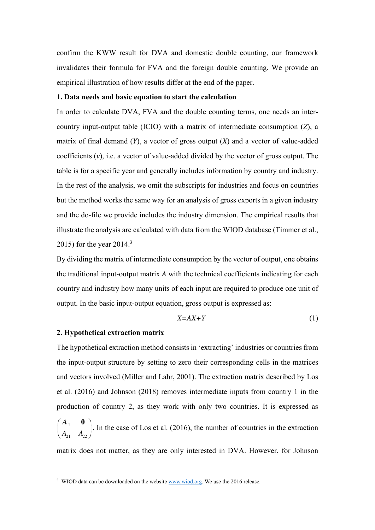confirm the KWW result for DVA and domestic double counting, our framework invalidates their formula for FVA and the foreign double counting. We provide an empirical illustration of how results differ at the end of the paper.

# **1. Data needs and basic equation to start the calculation**

In order to calculate DVA, FVA and the double counting terms, one needs an intercountry input-output table (ICIO) with a matrix of intermediate consumption (*Z*), a matrix of final demand (*Y*), a vector of gross output (*X*) and a vector of value-added coefficients  $(v)$ , i.e. a vector of value-added divided by the vector of gross output. The table is for a specific year and generally includes information by country and industry. In the rest of the analysis, we omit the subscripts for industries and focus on countries but the method works the same way for an analysis of gross exports in a given industry and the do-file we provide includes the industry dimension. The empirical results that illustrate the analysis are calculated with data from the WIOD database (Timmer et al., 2015) for the year  $2014.<sup>3</sup>$ 

By dividing the matrix of intermediate consumption by the vector of output, one obtains the traditional input-output matrix *A* with the technical coefficients indicating for each country and industry how many units of each input are required to produce one unit of output. In the basic input-output equation, gross output is expressed as:

$$
X = AX + Y \tag{1}
$$

## **2. Hypothetical extraction matrix**

1

The hypothetical extraction method consists in 'extracting' industries or countries from the input-output structure by setting to zero their corresponding cells in the matrices and vectors involved (Miller and Lahr, 2001). The extraction matrix described by Los et al. (2016) and Johnson (2018) removes intermediate inputs from country 1 in the production of country 2, as they work with only two countries. It is expressed as *A*

11  $21 \t 22$  $\begin{pmatrix} A_{11} & \mathbf{0} \ A_{21} & A_{22} \end{pmatrix}$ . In the case of Los et al. (2016), the number of countries in the extraction

matrix does not matter, as they are only interested in DVA. However, for Johnson

<sup>&</sup>lt;sup>3</sup> WIOD data can be downloaded on the website **www.wiod.org**. We use the 2016 release.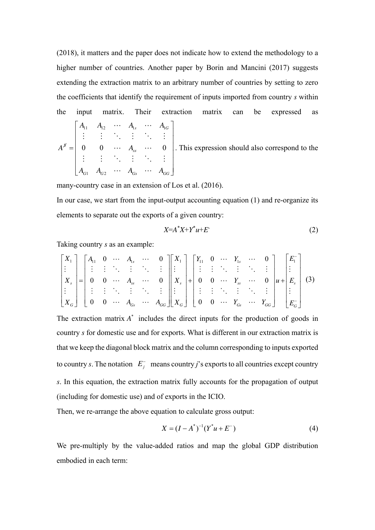(2018), it matters and the paper does not indicate how to extend the methodology to a higher number of countries. Another paper by Borin and Mancini (2017) suggests extending the extraction matrix to an arbitrary number of countries by setting to zero the coefficients that identify the requirement of inputs imported from country *s* within the input matrix. Their extraction matrix can be expressed as  $\mathbf{1}_1$   $\mathbf{1}_2$   $\mathbf{1}_3$   $\mathbf{1}_1$  $s$   $A_{1G}$  $A_{11}$   $A_{12}$   $\cdots$   $A_{1s}$   $\cdots$  *A*  $A_{11} \quad A_{12} \quad \cdots \quad A_{1s} \quad \cdots \quad A_{1G}$  $\cdots$   $A_{1s}$   $\cdots$ 

 $1 \tT_{G2}$  $0\qquad 0\qquad \cdots \quad A_{_{\text{\tiny{NN}}}}\quad \cdots \quad 0$ *S ss*  $G1 \tA \tG2 \tA \tGs \tA \tGG$  $A^{\scriptscriptstyle\mathcal{S}}=\begin{bmatrix} 0 & 0 & \cdots & A \end{bmatrix}$  $A_{G1}$   $A_{G2}$   $\cdots$   $A_{G5}$   $\cdots$   $A_{G8}$  $\begin{bmatrix} \cdots & \cdots & \cdots & \cdots & \cdots \end{bmatrix}$  $=$  $\begin{bmatrix} A_{G1} & A_{G2} & \cdots & A_{Gs} & \cdots & A_{GG} \end{bmatrix}$ i di katalika i  $\cdots$   $A_{ss}$   $\cdots$ i (i hoi hoi )  $\cdots$   $A_{G_s}$   $\cdots$ . This expression should also correspond to the

many-country case in an extension of Los et al. (2016).

In our case, we start from the input-output accounting equation (1) and re-organize its elements to separate out the exports of a given country:

$$
X = A^*X + Y^*u + E
$$
 (2)

Taking country *s* as an example:

$$
\begin{bmatrix} X_1 \\ \vdots \\ X_s \\ \vdots \\ X_G \end{bmatrix} = \begin{bmatrix} A_{11} & 0 & \cdots & A_{1s} & \cdots & 0 \\ \vdots & \vdots & \ddots & \vdots & \ddots & \vdots \\ 0 & 0 & \cdots & A_{ss} & \cdots & 0 \\ \vdots & \vdots & \ddots & \vdots & \ddots & \vdots \\ 0 & 0 & \cdots & A_{cs} & \cdots & A_{GG} \end{bmatrix} \begin{bmatrix} X_1 \\ \vdots \\ X_s \\ \vdots \\ X_G \end{bmatrix} + \begin{bmatrix} Y_{11} & 0 & \cdots & Y_{1s} & \cdots & 0 \\ \vdots & \vdots & \ddots & \vdots & \ddots & \vdots \\ 0 & 0 & \cdots & Y_{ss} & \cdots & 0 \\ \vdots & \vdots & \ddots & \vdots & \ddots & \vdots \\ 0 & 0 & \cdots & Y_{cs} & \cdots & Y_{GG} \end{bmatrix} u + \begin{bmatrix} E_1^- \\ \vdots \\ E_s^- \end{bmatrix} \tag{3}
$$

The extraction matrix  $A^*$  includes the direct inputs for the production of goods in country *s* for domestic use and for exports. What is different in our extraction matrix is that we keep the diagonal block matrix and the column corresponding to inputs exported to country *s*. The notation  $E_j^-$  means country *j*'s exports to all countries except country *s*. In this equation, the extraction matrix fully accounts for the propagation of output (including for domestic use) and of exports in the ICIO.

Then, we re-arrange the above equation to calculate gross output:

$$
X = (I - A^*)^{-1} (Y^* u + E^-) \tag{4}
$$

We pre-multiply by the value-added ratios and map the global GDP distribution embodied in each term: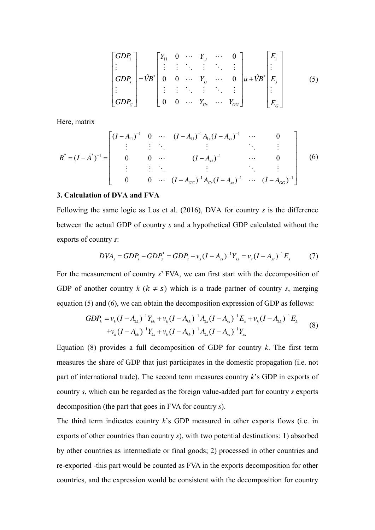$$
\begin{bmatrix}\nGDP_1 \\
\vdots \\
GDP_s \\
\vdots \\
GDP_c\n\end{bmatrix} = \hat{V}B^* \begin{bmatrix}\nY_{11} & 0 & \cdots & Y_{1s} & \cdots & 0 \\
\vdots & \vdots & \ddots & \vdots & \ddots & \vdots \\
0 & 0 & \cdots & Y_{ss} & \cdots & 0 \\
\vdots & \vdots & \ddots & \vdots & \ddots & \vdots \\
0 & 0 & \cdots & Y_{cs} & \cdots & Y_{cc}\n\end{bmatrix}\n\mu + \hat{V}B^* \begin{bmatrix}\nE_1^- \\
\vdots \\
E_s\end{bmatrix}
$$
\n(5)

Here, matrix

$$
B^* = (I - A^*)^{-1} = \begin{bmatrix} (I - A_{11})^{-1} & 0 & \cdots & (I - A_{11})^{-1} A_{1s} (I - A_{ss})^{-1} & \cdots & 0 \\ \vdots & \vdots & \ddots & \vdots & \ddots & \vdots \\ 0 & 0 & \cdots & (I - A_{ss})^{-1} & \cdots & 0 \\ \vdots & \vdots & \ddots & \vdots & \ddots & \vdots \\ 0 & 0 & \cdots & (I - A_{GG})^{-1} A_{GS} (I - A_{ss})^{-1} & \cdots & (I - A_{GG})^{-1} \end{bmatrix}
$$
(6)

#### **3. Calculation of DVA and FVA**

Following the same logic as Los et al. (2016), DVA for country *s* is the difference between the actual GDP of country *s* and a hypothetical GDP calculated without the exports of country *s*:

$$
DVA_s = GDP_s - GDP_s^* = GDP_s - v_s(I - A_{ss})^{-1}Y_{ss} = v_s(I - A_{ss})^{-1}E_s \tag{7}
$$

For the measurement of country *s*' FVA, we can first start with the decomposition of GDP of another country  $k$  ( $k \neq s$ ) which is a trade partner of country *s*, merging equation (5) and (6), we can obtain the decomposition expression of GDP as follows:

$$
GDP_k = v_k (I - A_{kk})^{-1} Y_{kk} + v_k (I - A_{kk})^{-1} A_{ks} (I - A_{ss})^{-1} E_s + v_k (I - A_{kk})^{-1} E_k^- + v_k (I - A_{kk})^{-1} Y_{ks} + v_k (I - A_{kk})^{-1} A_{ks} (I - A_{ss})^{-1} Y_{ss}
$$
(8)

Equation (8) provides a full decomposition of GDP for country *k*. The first term measures the share of GDP that just participates in the domestic propagation (i.e. not part of international trade). The second term measures country *k*'s GDP in exports of country *s*, which can be regarded as the foreign value-added part for country *s* exports decomposition (the part that goes in FVA for country *s*).

The third term indicates country *k*'s GDP measured in other exports flows (i.e. in exports of other countries than country *s*), with two potential destinations: 1) absorbed by other countries as intermediate or final goods; 2) processed in other countries and re-exported -this part would be counted as FVA in the exports decomposition for other countries, and the expression would be consistent with the decomposition for country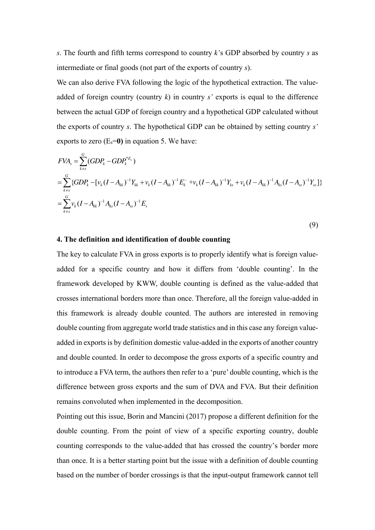*s*. The fourth and fifth terms correspond to country *k'*s GDP absorbed by country *s* as intermediate or final goods (not part of the exports of country *s*).

We can also derive FVA following the logic of the hypothetical extraction. The valueadded of foreign country (country *k*) in country *s'* exports is equal to the difference between the actual GDP of foreign country and a hypothetical GDP calculated without the exports of country *s*. The hypothetical GDP can be obtained by setting country *s'*  exports to zero  $(E_s=0)$  in equation 5. We have:

$$
FVA_s = \sum_{k=s}^{G} (GDP_k - GDP_k^{*E_s})
$$
  
=  $\sum_{k=s}^{G} {GDP_k - [v_k(I - A_{kk})^{-1}Y_{kk} + v_k(I - A_{kk})^{-1}E_k^- + v_k(I - A_{kk})^{-1}Y_{ks} + v_k(I - A_{kk})^{-1}A_{ks}(I - A_{ss})^{-1}Y_{ss}] }$   
=  $\sum_{k=s}^{G} v_k(I - A_{kk})^{-1}A_{ks}(I - A_{ss})^{-1}E_s$ 

(9)

#### **4. The definition and identification of double counting**

The key to calculate FVA in gross exports is to properly identify what is foreign valueadded for a specific country and how it differs from 'double counting'. In the framework developed by KWW, double counting is defined as the value-added that crosses international borders more than once. Therefore, all the foreign value-added in this framework is already double counted. The authors are interested in removing double counting from aggregate world trade statistics and in this case any foreign valueadded in exports is by definition domestic value-added in the exports of another country and double counted. In order to decompose the gross exports of a specific country and to introduce a FVA term, the authors then refer to a 'pure' double counting, which is the difference between gross exports and the sum of DVA and FVA. But their definition remains convoluted when implemented in the decomposition.

Pointing out this issue, Borin and Mancini (2017) propose a different definition for the double counting. From the point of view of a specific exporting country, double counting corresponds to the value-added that has crossed the country's border more than once. It is a better starting point but the issue with a definition of double counting based on the number of border crossings is that the input-output framework cannot tell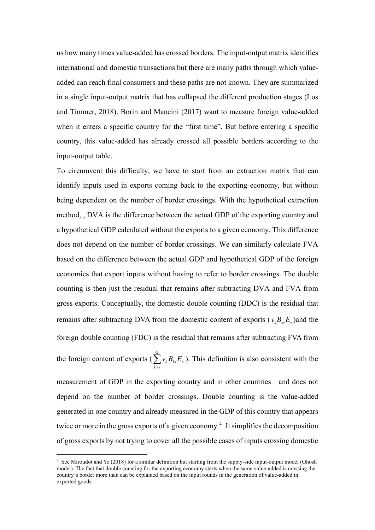us how many times value-added has crossed borders. The input-output matrix identifies international and domestic transactions but there are many paths through which valueadded can reach final consumers and these paths are not known. They are summarized in a single input-output matrix that has collapsed the different production stages (Los and Timmer, 2018). Borin and Mancini (2017) want to measure foreign value-added when it enters a specific country for the "first time". But before entering a specific country, this value-added has already crossed all possible borders according to the input-output table.

To circumvent this difficulty, we have to start from an extraction matrix that can identify inputs used in exports coming back to the exporting economy, but without being dependent on the number of border crossings. With the hypothetical extraction method, , DVA is the difference between the actual GDP of the exporting country and a hypothetical GDP calculated without the exports to a given economy. This difference does not depend on the number of border crossings. We can similarly calculate FVA based on the difference between the actual GDP and hypothetical GDP of the foreign economies that export inputs without having to refer to border crossings. The double counting is then just the residual that remains after subtracting DVA and FVA from gross exports. Conceptually, the domestic double counting (DDC) is the residual that remains after subtracting DVA from the domestic content of exports ( $v_s B_{ss} E_s$ ) and the foreign double counting (FDC) is the residual that remains after subtracting FVA from

the foreign content of exports ( *G*  $k \mathbf{\nu}_{ks}$  $\mathbf{\nu}_{s}$  $k \neq s$  $v_k B_{ks} E$  $\sum_{k \neq s} v_k B_{ks} E_s$ ). This definition is also consistent with the

measurement of GDP in the exporting country and in other countries and does not depend on the number of border crossings. Double counting is the value-added generated in one country and already measured in the GDP of this country that appears twice or more in the gross exports of a given economy.<sup>4</sup> It simplifies the decomposition of gross exports by not trying to cover all the possible cases of inputs crossing domestic

1

<sup>4</sup> See Miroudot and Ye (2018) for a similar definition but starting from the supply-side input-output model (Ghosh model). The fact that double counting for the exporting economy starts when the same value-added is crossing the country's border more than can be explained based on the input rounds in the generation of value-added in exported goods.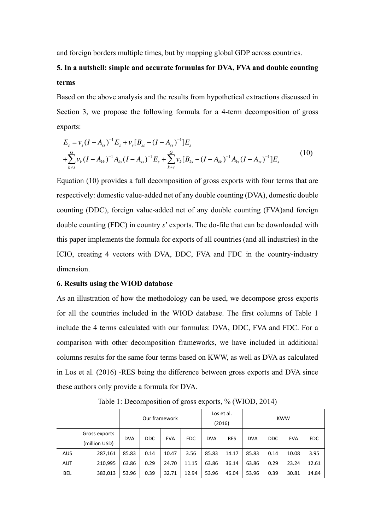and foreign borders multiple times, but by mapping global GDP across countries.

# **5. In a nutshell: simple and accurate formulas for DVA, FVA and double counting terms**

Based on the above analysis and the results from hypothetical extractions discussed in Section 3, we propose the following formula for a 4-term decomposition of gross exports:

$$
E_s = v_s (I - A_{ss})^{-1} E_s + v_s [B_{ss} - (I - A_{ss})^{-1}] E_s
$$
  
+
$$
\sum_{k \neq s}^{G} v_k (I - A_{kk})^{-1} A_{ks} (I - A_{ss})^{-1} E_s + \sum_{k \neq s}^{G} v_k [B_{ks} - (I - A_{kk})^{-1} A_{ks} (I - A_{ss})^{-1}] E_s
$$
(10)

Equation (10) provides a full decomposition of gross exports with four terms that are respectively: domestic value-added net of any double counting (DVA), domestic double counting (DDC), foreign value-added net of any double counting (FVA)and foreign double counting (FDC) in country *s*' exports. The do-file that can be downloaded with this paper implements the formula for exports of all countries (and all industries) in the ICIO, creating 4 vectors with DVA, DDC, FVA and FDC in the country-industry dimension.

#### **6. Results using the WIOD database**

As an illustration of how the methodology can be used, we decompose gross exports for all the countries included in the WIOD database. The first columns of Table 1 include the 4 terms calculated with our formulas: DVA, DDC, FVA and FDC. For a comparison with other decomposition frameworks, we have included in additional columns results for the same four terms based on KWW, as well as DVA as calculated in Los et al. (2016) -RES being the difference between gross exports and DVA since these authors only provide a formula for DVA.

|            |                                | Our framework |            |            |            | Los et al.<br>(2016) |            | <b>KWW</b> |            |            |            |
|------------|--------------------------------|---------------|------------|------------|------------|----------------------|------------|------------|------------|------------|------------|
|            | Gross exports<br>(million USD) | <b>DVA</b>    | <b>DDC</b> | <b>FVA</b> | <b>FDC</b> | <b>DVA</b>           | <b>RES</b> | <b>DVA</b> | <b>DDC</b> | <b>FVA</b> | <b>FDC</b> |
| <b>AUS</b> | 287,161                        | 85.83         | 0.14       | 10.47      | 3.56       | 85.83                | 14.17      | 85.83      | 0.14       | 10.08      | 3.95       |
| <b>AUT</b> | 210,995                        | 63.86         | 0.29       | 24.70      | 11.15      | 63.86                | 36.14      | 63.86      | 0.29       | 23.24      | 12.61      |
| <b>BEL</b> | 383,013                        | 53.96         | 0.39       | 32.71      | 12.94      | 53.96                | 46.04      | 53.96      | 0.39       | 30.81      | 14.84      |

Table 1: Decomposition of gross exports, % (WIOD, 2014)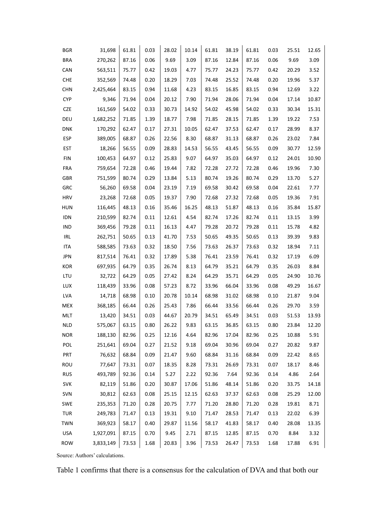| <b>BGR</b> | 31,698    | 61.81 | 0.03 | 28.02 | 10.14 | 61.81 | 38.19 | 61.81 | 0.03 | 25.51 | 12.65 |
|------------|-----------|-------|------|-------|-------|-------|-------|-------|------|-------|-------|
| <b>BRA</b> | 270,262   | 87.16 | 0.06 | 9.69  | 3.09  | 87.16 | 12.84 | 87.16 | 0.06 | 9.69  | 3.09  |
| CAN        | 563,511   | 75.77 | 0.42 | 19.03 | 4.77  | 75.77 | 24.23 | 75.77 | 0.42 | 20.29 | 3.52  |
| <b>CHE</b> | 352,569   | 74.48 | 0.20 | 18.29 | 7.03  | 74.48 | 25.52 | 74.48 | 0.20 | 19.96 | 5.37  |
| <b>CHN</b> | 2,425,464 | 83.15 | 0.94 | 11.68 | 4.23  | 83.15 | 16.85 | 83.15 | 0.94 | 12.69 | 3.22  |
| <b>CYP</b> | 9,346     | 71.94 | 0.04 | 20.12 | 7.90  | 71.94 | 28.06 | 71.94 | 0.04 | 17.14 | 10.87 |
| <b>CZE</b> | 161,569   | 54.02 | 0.33 | 30.73 | 14.92 | 54.02 | 45.98 | 54.02 | 0.33 | 30.34 | 15.31 |
| DEU        | 1,682,252 | 71.85 | 1.39 | 18.77 | 7.98  | 71.85 | 28.15 | 71.85 | 1.39 | 19.22 | 7.53  |
| <b>DNK</b> | 170,292   | 62.47 | 0.17 | 27.31 | 10.05 | 62.47 | 37.53 | 62.47 | 0.17 | 28.99 | 8.37  |
| <b>ESP</b> | 389,005   | 68.87 | 0.26 | 22.56 | 8.30  | 68.87 | 31.13 | 68.87 | 0.26 | 23.02 | 7.84  |
| EST        | 18,266    | 56.55 | 0.09 | 28.83 | 14.53 | 56.55 | 43.45 | 56.55 | 0.09 | 30.77 | 12.59 |
| <b>FIN</b> | 100,453   | 64.97 | 0.12 | 25.83 | 9.07  | 64.97 | 35.03 | 64.97 | 0.12 | 24.01 | 10.90 |
| FRA        | 759,654   | 72.28 | 0.46 | 19.44 | 7.82  | 72.28 | 27.72 | 72.28 | 0.46 | 19.96 | 7.30  |
| GBR        | 751,599   | 80.74 | 0.29 | 13.84 | 5.13  | 80.74 | 19.26 | 80.74 | 0.29 | 13.70 | 5.27  |
| GRC        | 56,260    | 69.58 | 0.04 | 23.19 | 7.19  | 69.58 | 30.42 | 69.58 | 0.04 | 22.61 | 7.77  |
| <b>HRV</b> | 23,268    | 72.68 | 0.05 | 19.37 | 7.90  | 72.68 | 27.32 | 72.68 | 0.05 | 19.36 | 7.91  |
| <b>HUN</b> | 116,445   | 48.13 | 0.16 | 35.46 | 16.25 | 48.13 | 51.87 | 48.13 | 0.16 | 35.84 | 15.87 |
| IDN        | 210,599   | 82.74 | 0.11 | 12.61 | 4.54  | 82.74 | 17.26 | 82.74 | 0.11 | 13.15 | 3.99  |
| IND        | 369,456   | 79.28 | 0.11 | 16.13 | 4.47  | 79.28 | 20.72 | 79.28 | 0.11 | 15.78 | 4.82  |
| IRL        | 262,751   | 50.65 | 0.13 | 41.70 | 7.53  | 50.65 | 49.35 | 50.65 | 0.13 | 39.39 | 9.83  |
| <b>ITA</b> | 588,585   | 73.63 | 0.32 | 18.50 | 7.56  | 73.63 | 26.37 | 73.63 | 0.32 | 18.94 | 7.11  |
| <b>JPN</b> | 817,514   | 76.41 | 0.32 | 17.89 | 5.38  | 76.41 | 23.59 | 76.41 | 0.32 | 17.19 | 6.09  |
| KOR        | 697,935   | 64.79 | 0.35 | 26.74 | 8.13  | 64.79 | 35.21 | 64.79 | 0.35 | 26.03 | 8.84  |
| LTU        | 32,722    | 64.29 | 0.05 | 27.42 | 8.24  | 64.29 | 35.71 | 64.29 | 0.05 | 24.90 | 10.76 |
| LUX        | 118,439   | 33.96 | 0.08 | 57.23 | 8.72  | 33.96 | 66.04 | 33.96 | 0.08 | 49.29 | 16.67 |
| <b>LVA</b> | 14,718    | 68.98 | 0.10 | 20.78 | 10.14 | 68.98 | 31.02 | 68.98 | 0.10 | 21.87 | 9.04  |
| MEX        | 368,185   | 66.44 | 0.26 | 25.43 | 7.86  | 66.44 | 33.56 | 66.44 | 0.26 | 29.70 | 3.59  |
| MLT        | 13,420    | 34.51 | 0.03 | 44.67 | 20.79 | 34.51 | 65.49 | 34.51 | 0.03 | 51.53 | 13.93 |
| <b>NLD</b> | 575,067   | 63.15 | 0.80 | 26.22 | 9.83  | 63.15 | 36.85 | 63.15 | 0.80 | 23.84 | 12.20 |
| <b>NOR</b> | 188,130   | 82.96 | 0.25 | 12.16 | 4.64  | 82.96 | 17.04 | 82.96 | 0.25 | 10.88 | 5.91  |
| POL        | 251,641   | 69.04 | 0.27 | 21.52 | 9.18  | 69.04 | 30.96 | 69.04 | 0.27 | 20.82 | 9.87  |
| <b>PRT</b> | 76,632    | 68.84 | 0.09 | 21.47 | 9.60  | 68.84 | 31.16 | 68.84 | 0.09 | 22.42 | 8.65  |
| ROU        | 77,647    | 73.31 | 0.07 | 18.35 | 8.28  | 73.31 | 26.69 | 73.31 | 0.07 | 18.17 | 8.46  |
| <b>RUS</b> | 493,789   | 92.36 | 0.14 | 5.27  | 2.22  | 92.36 | 7.64  | 92.36 | 0.14 | 4.86  | 2.64  |
| SVK        | 82,119    | 51.86 | 0.20 | 30.87 | 17.06 | 51.86 | 48.14 | 51.86 | 0.20 | 33.75 | 14.18 |
| SVN        | 30,812    | 62.63 | 0.08 | 25.15 | 12.15 | 62.63 | 37.37 | 62.63 | 0.08 | 25.29 | 12.00 |
| SWE        | 235,353   | 71.20 | 0.28 | 20.75 | 7.77  | 71.20 | 28.80 | 71.20 | 0.28 | 19.81 | 8.71  |
| TUR        | 249,783   | 71.47 | 0.13 | 19.31 | 9.10  | 71.47 | 28.53 | 71.47 | 0.13 | 22.02 | 6.39  |
| TWN        | 369,923   | 58.17 | 0.40 | 29.87 | 11.56 | 58.17 | 41.83 | 58.17 | 0.40 | 28.08 | 13.35 |
| <b>USA</b> | 1,927,091 | 87.15 | 0.70 | 9.45  | 2.71  | 87.15 | 12.85 | 87.15 | 0.70 | 8.84  | 3.32  |
| ROW        | 3,833,149 | 73.53 | 1.68 | 20.83 | 3.96  | 73.53 | 26.47 | 73.53 | 1.68 | 17.88 | 6.91  |

Source: Authors' calculations.

Table 1 confirms that there is a consensus for the calculation of DVA and that both our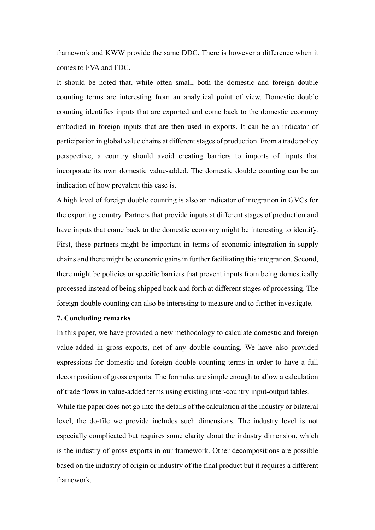framework and KWW provide the same DDC. There is however a difference when it comes to FVA and FDC.

It should be noted that, while often small, both the domestic and foreign double counting terms are interesting from an analytical point of view. Domestic double counting identifies inputs that are exported and come back to the domestic economy embodied in foreign inputs that are then used in exports. It can be an indicator of participation in global value chains at different stages of production. From a trade policy perspective, a country should avoid creating barriers to imports of inputs that incorporate its own domestic value-added. The domestic double counting can be an indication of how prevalent this case is.

A high level of foreign double counting is also an indicator of integration in GVCs for the exporting country. Partners that provide inputs at different stages of production and have inputs that come back to the domestic economy might be interesting to identify. First, these partners might be important in terms of economic integration in supply chains and there might be economic gains in further facilitating this integration. Second, there might be policies or specific barriers that prevent inputs from being domestically processed instead of being shipped back and forth at different stages of processing. The foreign double counting can also be interesting to measure and to further investigate.

# **7. Concluding remarks**

In this paper, we have provided a new methodology to calculate domestic and foreign value-added in gross exports, net of any double counting. We have also provided expressions for domestic and foreign double counting terms in order to have a full decomposition of gross exports. The formulas are simple enough to allow a calculation of trade flows in value-added terms using existing inter-country input-output tables.

While the paper does not go into the details of the calculation at the industry or bilateral level, the do-file we provide includes such dimensions. The industry level is not especially complicated but requires some clarity about the industry dimension, which is the industry of gross exports in our framework. Other decompositions are possible based on the industry of origin or industry of the final product but it requires a different framework.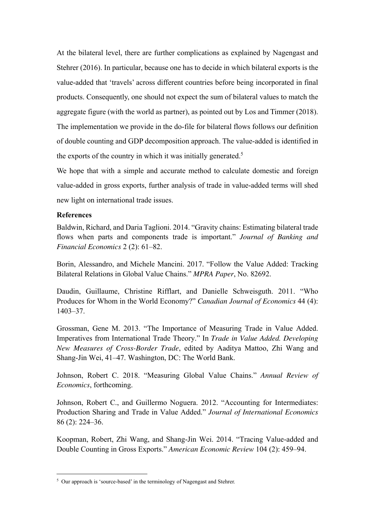At the bilateral level, there are further complications as explained by Nagengast and Stehrer (2016). In particular, because one has to decide in which bilateral exports is the value-added that 'travels' across different countries before being incorporated in final products. Consequently, one should not expect the sum of bilateral values to match the aggregate figure (with the world as partner), as pointed out by Los and Timmer (2018). The implementation we provide in the do-file for bilateral flows follows our definition of double counting and GDP decomposition approach. The value-added is identified in the exports of the country in which it was initially generated.<sup>5</sup>

We hope that with a simple and accurate method to calculate domestic and foreign value-added in gross exports, further analysis of trade in value-added terms will shed new light on international trade issues.

# **References**

1

Baldwin, Richard, and Daria Taglioni. 2014. "Gravity chains: Estimating bilateral trade flows when parts and components trade is important." *Journal of Banking and Financial Economics* 2 (2): 61–82.

Borin, Alessandro, and Michele Mancini. 2017. "Follow the Value Added: Tracking Bilateral Relations in Global Value Chains." *MPRA Paper*, No. 82692.

Daudin, Guillaume, Christine Rifflart, and Danielle Schweisguth. 2011. "Who Produces for Whom in the World Economy?" *Canadian Journal of Economics* 44 (4): 1403–37.

Grossman, Gene M. 2013. "The Importance of Measuring Trade in Value Added. Imperatives from International Trade Theory." In *Trade in Value Added. Developing New Measures of Cross-Border Trade*, edited by Aaditya Mattoo, Zhi Wang and Shang-Jin Wei, 41–47. Washington, DC: The World Bank.

Johnson, Robert C. 2018. "Measuring Global Value Chains." *Annual Review of Economics*, forthcoming.

Johnson, Robert C., and Guillermo Noguera. 2012. "Accounting for Intermediates: Production Sharing and Trade in Value Added." *Journal of International Economics* 86 (2): 224–36.

Koopman, Robert, Zhi Wang, and Shang-Jin Wei. 2014. "Tracing Value-added and Double Counting in Gross Exports." *American Economic Review* 104 (2): 459–94.

<sup>5</sup> Our approach is 'source-based' in the terminology of Nagengast and Stehrer.